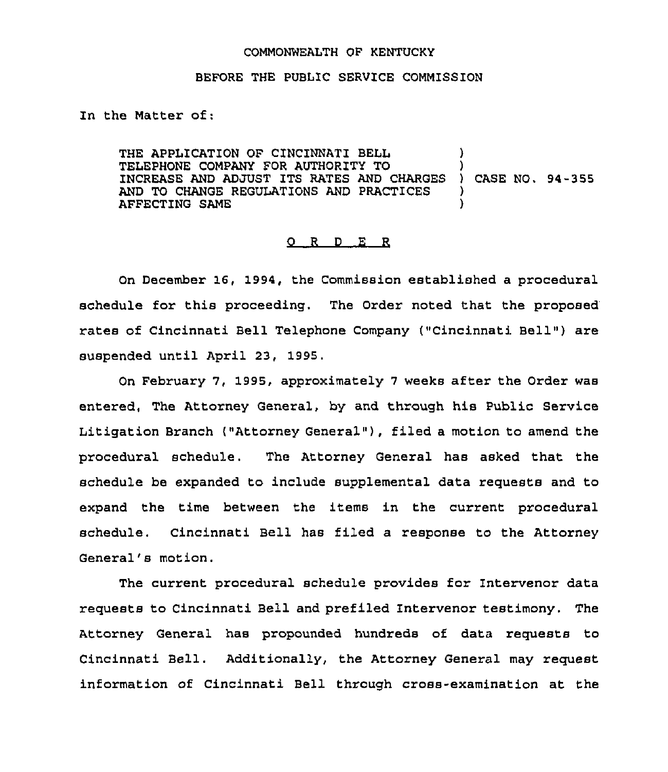## COMMONWEALTH OF KENTUCKY

## BEFORE THE PUBIIC SERVICE COMMISSION

In the Matter of:

THE APPLICATION OF CINCINNATI BELL  $)$ TELEPHONE COMPANY FOR AUTHORITY TO ) INCREASE AND ADJUST ITS RATES AND CHARGES ) CASE NO. 94-355 AND TO CHANGE REGULATIONS AND PRACTICES  $\rangle$ <br>AFFECTING SAME AFFECTING SAME )

## 0 <sup>R</sup> <sup>D</sup> E R

On December 16, 1994, the Commission established a procedural schedule for this proceeding. The Order noted that the proposed rates of Cincinnati Bell Telephone Company ("Cincinnati Bell") are suspended until April 23, 1995,

On February 7, 1995, approximately <sup>7</sup> weeks after the Order was entered, The Attorney General, by and through his Public Service Litigation Branch ("Attorney General" ), filed <sup>a</sup> motion to amend the procedural schedule. The Attorney General has asked that the schedule be expanded to include supplemental data requests and to expand the time between the items in the current procedural schedule. Cincinnati Bell has filed a response to the Attorney General's motion.

The current procedural schedule provides for Intervenor data requests to Cincinnati Bell and prefiled Intervenor testimony. The Attorney General has propounded hundreds of data requests to Cincinnati Bell. Additionally, the Attorney General may request information of Cincinnati Bell through cross-examination at the